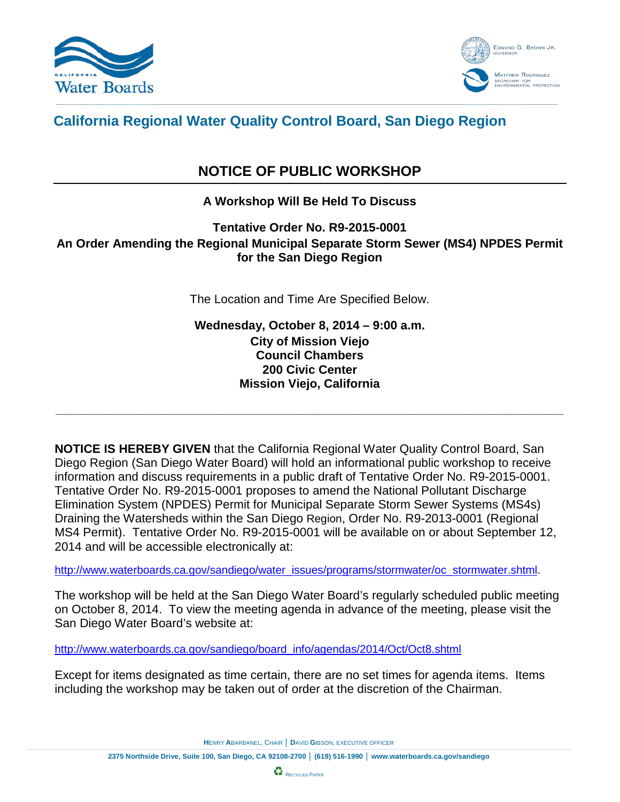



## **California Regional Water Quality Control Board, San Diego Region**

# **NOTICE OF PUBLIC WORKSHOP**

## **A Workshop Will Be Held To Discuss**

#### **Tentative Order No. R9-2015-0001 An Order Amending the Regional Municipal Separate Storm Sewer (MS4) NPDES Permit for the San Diego Region**

The Location and Time Are Specified Below.

**Wednesday, October 8, 2014 – 9:00 a.m. City of Mission Viejo Council Chambers 200 Civic Center Mission Viejo, California**

**\_\_\_\_\_\_\_\_\_\_\_\_\_\_\_\_\_\_\_\_\_\_\_\_\_\_\_\_\_\_\_\_\_\_\_\_\_\_\_\_\_\_\_\_\_\_\_\_\_\_\_\_\_\_\_\_\_\_\_\_\_\_\_\_\_\_\_\_\_\_\_\_\_\_\_\_\_\_\_\_\_\_**

**NOTICE IS HEREBY GIVEN** that the California Regional Water Quality Control Board, San Diego Region (San Diego Water Board) will hold an informational public workshop to receive information and discuss requirements in a public draft of Tentative Order No. R9-2015-0001. Tentative Order No. R9-2015-0001 proposes to amend the National Pollutant Discharge Elimination System (NPDES) Permit for Municipal Separate Storm Sewer Systems (MS4s) Draining the Watersheds within the San Diego Region, Order No. R9-2013-0001 (Regional MS4 Permit). Tentative Order No. R9-2015-0001 will be available on or about September 12, 2014 and will be accessible electronically at:

[http://www.waterboards.ca.gov/sandiego/water\\_issues/programs/stormwater/oc\\_stormwater.shtml.](http://www.waterboards.ca.gov/sandiego/water_issues/programs/stormwater/oc_stormwater.shtml)

The workshop will be held at the San Diego Water Board's regularly scheduled public meeting on October 8, 2014. To view the meeting agenda in advance of the meeting, please visit the San Diego Water Board's website at:

[http://www.waterboards.ca.gov/sandiego/board\\_info/agendas/2014/Oct/Oct8.shtml](http://www.waterboards.ca.gov/sandiego/board_info/agendas/2014/Oct/Oct8.shtml)

Except for items designated as time certain, there are no set times for agenda items. Items including the workshop may be taken out of order at the discretion of the Chairman.

**H**ENRY **A**BARBANEL, CHAIR │ **D**AVID **G**IBSON, EXECUTIVE OFFICER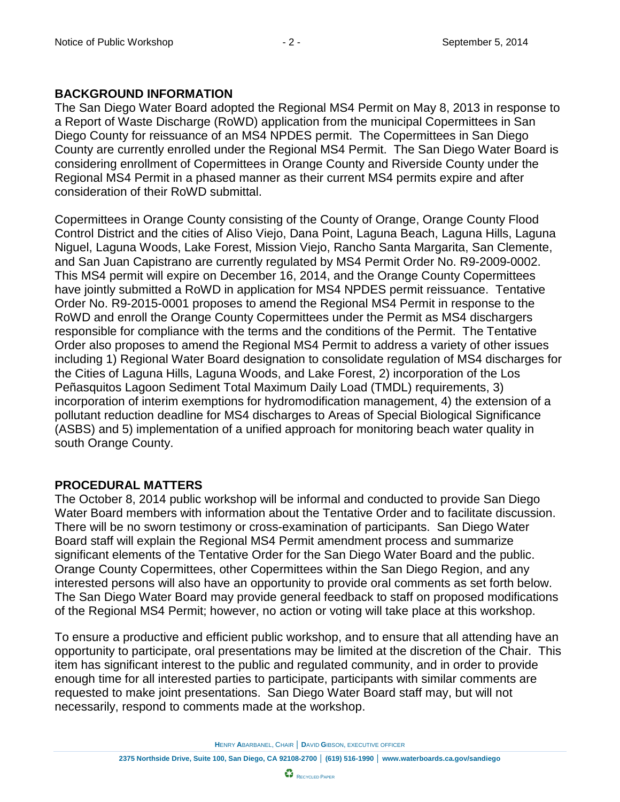### **BACKGROUND INFORMATION**

The San Diego Water Board adopted the Regional MS4 Permit on May 8, 2013 in response to a Report of Waste Discharge (RoWD) application from the municipal Copermittees in San Diego County for reissuance of an MS4 NPDES permit. The Copermittees in San Diego County are currently enrolled under the Regional MS4 Permit. The San Diego Water Board is considering enrollment of Copermittees in Orange County and Riverside County under the Regional MS4 Permit in a phased manner as their current MS4 permits expire and after consideration of their RoWD submittal.

Copermittees in Orange County consisting of the County of Orange, Orange County Flood Control District and the cities of Aliso Viejo, Dana Point, Laguna Beach, Laguna Hills, Laguna Niguel, Laguna Woods, Lake Forest, Mission Viejo, Rancho Santa Margarita, San Clemente, and San Juan Capistrano are currently regulated by MS4 Permit Order No. R9-2009-0002. This MS4 permit will expire on December 16, 2014, and the Orange County Copermittees have jointly submitted a RoWD in application for MS4 NPDES permit reissuance. Tentative Order No. R9-2015-0001 proposes to amend the Regional MS4 Permit in response to the RoWD and enroll the Orange County Copermittees under the Permit as MS4 dischargers responsible for compliance with the terms and the conditions of the Permit. The Tentative Order also proposes to amend the Regional MS4 Permit to address a variety of other issues including 1) Regional Water Board designation to consolidate regulation of MS4 discharges for the Cities of Laguna Hills, Laguna Woods, and Lake Forest, 2) incorporation of the Los Peñasquitos Lagoon Sediment Total Maximum Daily Load (TMDL) requirements, 3) incorporation of interim exemptions for hydromodification management, 4) the extension of a pollutant reduction deadline for MS4 discharges to Areas of Special Biological Significance (ASBS) and 5) implementation of a unified approach for monitoring beach water quality in south Orange County.

### **PROCEDURAL MATTERS**

The October 8, 2014 public workshop will be informal and conducted to provide San Diego Water Board members with information about the Tentative Order and to facilitate discussion. There will be no sworn testimony or cross-examination of participants. San Diego Water Board staff will explain the Regional MS4 Permit amendment process and summarize significant elements of the Tentative Order for the San Diego Water Board and the public. Orange County Copermittees, other Copermittees within the San Diego Region, and any interested persons will also have an opportunity to provide oral comments as set forth below. The San Diego Water Board may provide general feedback to staff on proposed modifications of the Regional MS4 Permit; however, no action or voting will take place at this workshop.

To ensure a productive and efficient public workshop, and to ensure that all attending have an opportunity to participate, oral presentations may be limited at the discretion of the Chair. This item has significant interest to the public and regulated community, and in order to provide enough time for all interested parties to participate, participants with similar comments are requested to make joint presentations. San Diego Water Board staff may, but will not necessarily, respond to comments made at the workshop.